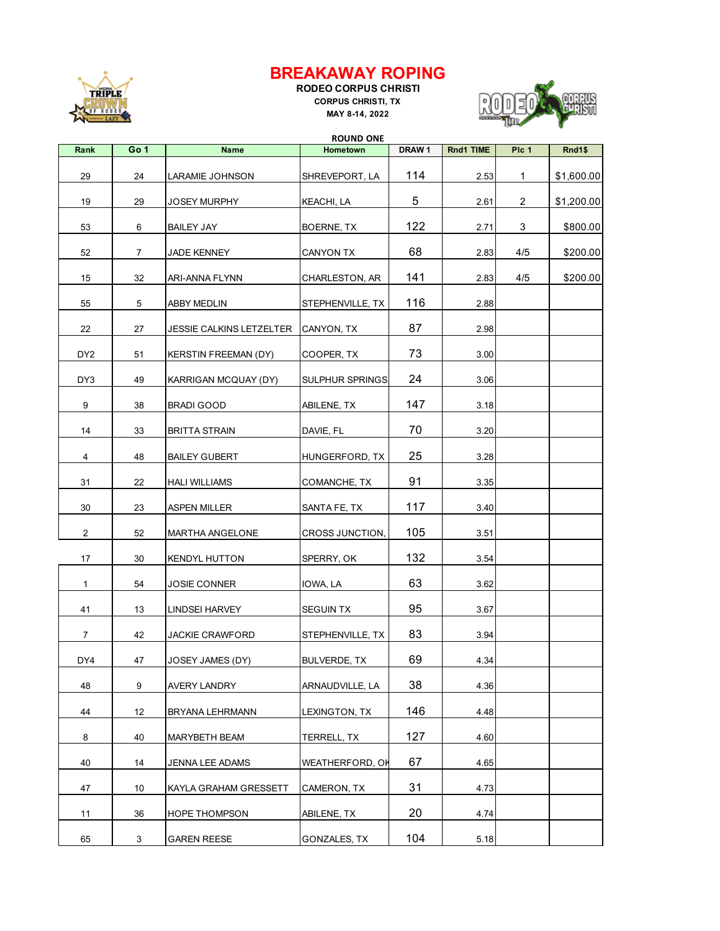

## **BREAKAWAY ROPING**

**RODEO CORPUS CHRISTI CORPUS CHRISTI, TX MAY 8-14, 2022**



|                 | <b>ROUND ONE</b> |                                 |                        |                   |           |                |            |
|-----------------|------------------|---------------------------------|------------------------|-------------------|-----------|----------------|------------|
| Rank            | Go 1             | <b>Name</b>                     | Hometown               | DRAW <sub>1</sub> | Rnd1 TIME | Plc 1          | Rnd1\$     |
| 29              | 24               | LARAMIE JOHNSON                 | SHREVEPORT, LA         | 114               | 2.53      | $\mathbf{1}$   | \$1,600.00 |
| 19              | 29               | <b>JOSEY MURPHY</b>             | KEACHI, LA             | 5                 | 2.61      | $\overline{2}$ | \$1,200.00 |
| 53              | 6                | <b>BAILEY JAY</b>               | BOERNE, TX             | 122               | 2.71      | 3              | \$800.00   |
| 52              | $\overline{7}$   | JADE KENNEY                     | <b>CANYON TX</b>       | 68                | 2.83      | 4/5            | \$200.00   |
| 15              | 32               | <b>ARI-ANNA FLYNN</b>           | CHARLESTON, AR         | 141               | 2.83      | 4/5            | \$200.00   |
| 55              | 5                | <b>ABBY MEDLIN</b>              | STEPHENVILLE, TX       | 116               | 2.88      |                |            |
| 22              | 27               | <b>JESSIE CALKINS LETZELTER</b> | CANYON, TX             | 87                | 2.98      |                |            |
| DY <sub>2</sub> | 51               | <b>KERSTIN FREEMAN (DY)</b>     | COOPER, TX             | 73                | 3.00      |                |            |
| DY3             | 49               | KARRIGAN MCQUAY (DY)            | <b>SULPHUR SPRINGS</b> | 24                | 3.06      |                |            |
| 9               | 38               | <b>BRADI GOOD</b>               | ABILENE, TX            | 147               | 3.18      |                |            |
| 14              | 33               | <b>BRITTA STRAIN</b>            | DAVIE, FL              | 70                | 3.20      |                |            |
| 4               | 48               | <b>BAILEY GUBERT</b>            | HUNGERFORD, TX         | 25                | 3.28      |                |            |
| 31              | 22               | <b>HALI WILLIAMS</b>            | COMANCHE, TX           | 91                | 3.35      |                |            |
| 30              | 23               | <b>ASPEN MILLER</b>             | SANTA FE, TX           | 117               | 3.40      |                |            |
| $\overline{2}$  | 52               | MARTHA ANGELONE                 | CROSS JUNCTION,        | 105               | 3.51      |                |            |
| 17              | 30               | <b>KENDYL HUTTON</b>            | SPERRY, OK             | 132               | 3.54      |                |            |
| 1               | 54               | <b>JOSIE CONNER</b>             | IOWA, LA               | 63                | 3.62      |                |            |
| 41              | 13               | <b>LINDSEI HARVEY</b>           | <b>SEGUIN TX</b>       | 95                | 3.67      |                |            |
| 7               | 42               | <b>JACKIE CRAWFORD</b>          | STEPHENVILLE, TX       | 83                | 3.94      |                |            |
| DY4             | 47               | JOSEY JAMES (DY)                | BULVERDE, TX           | 69                | 4.34      |                |            |
| 48              | 9                | AVERY LANDRY                    | ARNAUDVILLE, LA        | 38                | 4.36      |                |            |
| 44              | 12               | BRYANA LEHRMANN                 | LEXINGTON, TX          | 146               | 4.48      |                |            |
| 8               | 40               | MARYBETH BEAM                   | TERRELL, TX            | 127               | 4.60      |                |            |
| 40              | 14               | JENNA LEE ADAMS                 | WEATHERFORD, OH        | 67                | 4.65      |                |            |
| 47              | 10               | KAYLA GRAHAM GRESSETT           | CAMERON, TX            | 31                | 4.73      |                |            |
| 11              | 36               | <b>HOPE THOMPSON</b>            | ABILENE, TX            | 20                | 4.74      |                |            |
| 65              | 3                | <b>GAREN REESE</b>              | GONZALES, TX           | 104               | 5.18      |                |            |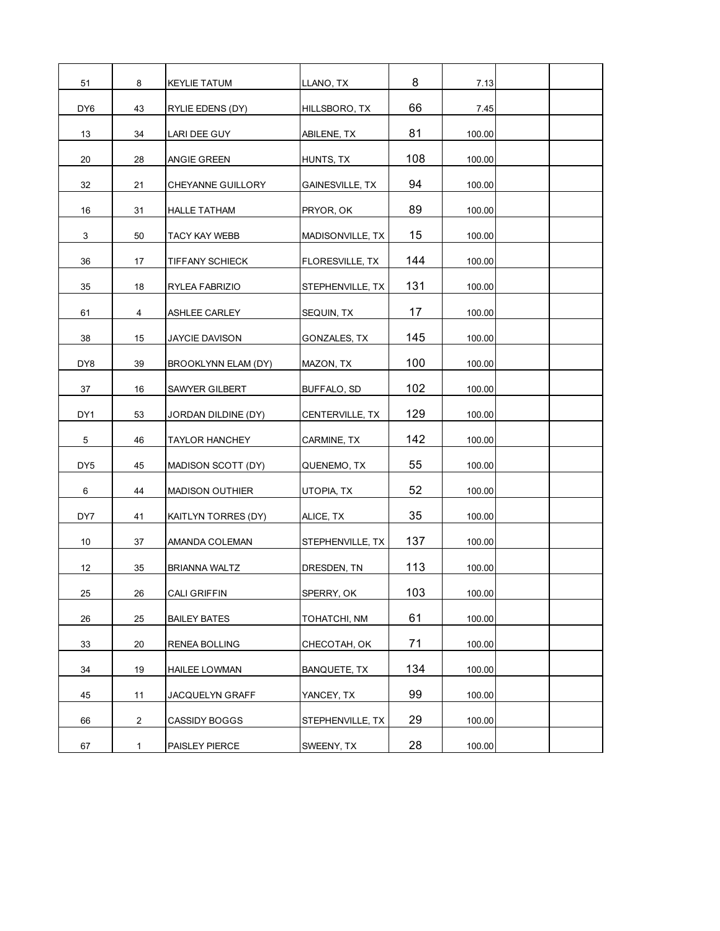| 51              | 8              | <b>KEYLIE TATUM</b>      | LLANO, TX              | 8   | 7.13   |  |
|-----------------|----------------|--------------------------|------------------------|-----|--------|--|
| DY <sub>6</sub> | 43             | RYLIE EDENS (DY)         | HILLSBORO, TX          | 66  | 7.45   |  |
| 13              | 34             | <b>LARI DEE GUY</b>      | ABILENE, TX            | 81  | 100.00 |  |
| 20              | 28             | ANGIE GREEN              | HUNTS, TX              | 108 | 100.00 |  |
| 32              | 21             | <b>CHEYANNE GUILLORY</b> | <b>GAINESVILLE, TX</b> | 94  | 100.00 |  |
| 16              | 31             | <b>HALLE TATHAM</b>      | PRYOR, OK              | 89  | 100.00 |  |
| 3               | 50             | TACY KAY WEBB            | MADISONVILLE, TX       | 15  | 100.00 |  |
| 36              | 17             | <b>TIFFANY SCHIECK</b>   | FLORESVILLE, TX        | 144 | 100.00 |  |
| 35              | 18             | RYLEA FABRIZIO           | STEPHENVILLE, TX       | 131 | 100.00 |  |
| 61              | 4              | ASHLEE CARLEY            | SEQUIN, TX             | 17  | 100.00 |  |
| 38              | 15             | <b>JAYCIE DAVISON</b>    | GONZALES, TX           | 145 | 100.00 |  |
| DY8             | 39             | BROOKLYNN ELAM (DY)      | MAZON, TX              | 100 | 100.00 |  |
| 37              | 16             | SAWYER GILBERT           | BUFFALO, SD            | 102 | 100.00 |  |
| DY1             | 53             | JORDAN DILDINE (DY)      | CENTERVILLE, TX        | 129 | 100.00 |  |
| 5               | 46             | <b>TAYLOR HANCHEY</b>    | CARMINE, TX            | 142 | 100.00 |  |
| DY <sub>5</sub> | 45             | MADISON SCOTT (DY)       | QUENEMO, TX            | 55  | 100.00 |  |
| 6               | 44             | <b>MADISON OUTHIER</b>   | UTOPIA, TX             | 52  | 100.00 |  |
| DY7             | 41             | KAITLYN TORRES (DY)      | ALICE, TX              | 35  | 100.00 |  |
| 10              | 37             | AMANDA COLEMAN           | STEPHENVILLE, TX       | 137 | 100.00 |  |
| 12              | 35             | BRIANNA WALTZ            | DRESDEN. TN            | 113 | 100.00 |  |
| 25              | 26             | CALI GRIFFIN             | SPERRY, OK             | 103 | 100.00 |  |
| 26              | 25             | <b>BAILEY BATES</b>      | TOHATCHI, NM           | 61  | 100.00 |  |
| 33              | 20             | <b>RENEA BOLLING</b>     | CHECOTAH, OK           | 71  | 100.00 |  |
| 34              | 19             | <b>HAILEE LOWMAN</b>     | BANQUETE, TX           | 134 | 100.00 |  |
| 45              | 11             | JACQUELYN GRAFF          | YANCEY, TX             | 99  | 100.00 |  |
| 66              | $\overline{c}$ | <b>CASSIDY BOGGS</b>     | STEPHENVILLE, TX       | 29  | 100.00 |  |
| 67              | $\mathbf{1}$   | PAISLEY PIERCE           | SWEENY, TX             | 28  | 100.00 |  |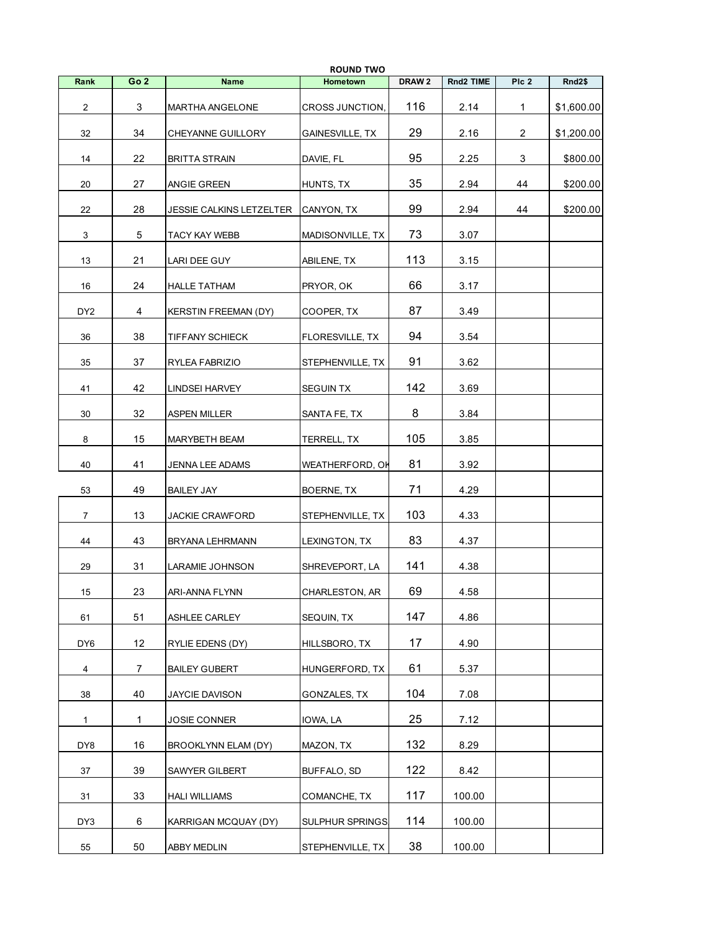|                 |                 |                             | <b>ROUND TWO</b>       |                   |           |       |            |
|-----------------|-----------------|-----------------------------|------------------------|-------------------|-----------|-------|------------|
| Rank            | Go <sub>2</sub> | <b>Name</b>                 | Hometown               | DRAW <sub>2</sub> | Rnd2 TIME | Plc 2 | Rnd2\$     |
| $\overline{2}$  | 3               | <b>MARTHA ANGELONE</b>      | CROSS JUNCTION,        | 116               | 2.14      | 1     | \$1,600.00 |
| 32              | 34              | CHEYANNE GUILLORY           | <b>GAINESVILLE, TX</b> | 29                | 2.16      | 2     | \$1,200.00 |
| 14              | 22              | <b>BRITTA STRAIN</b>        | DAVIE, FL              | 95                | 2.25      | 3     | \$800.00   |
| 20              | 27              | ANGIE GREEN                 | HUNTS, TX              | 35                | 2.94      | 44    | \$200.00   |
| 22              | 28              | JESSIE CALKINS LETZELTER    | CANYON, TX             | 99                | 2.94      | 44    | \$200.00   |
| 3               | 5               | TACY KAY WEBB               | MADISONVILLE, TX       | 73                | 3.07      |       |            |
| 13              | 21              | LARI DEE GUY                | ABILENE, TX            | 113               | 3.15      |       |            |
| 16              | 24              | <b>HALLE TATHAM</b>         | PRYOR, OK              | 66                | 3.17      |       |            |
| DY <sub>2</sub> | 4               | <b>KERSTIN FREEMAN (DY)</b> | COOPER, TX             | 87                | 3.49      |       |            |
| 36              | 38              | TIFFANY SCHIECK             | FLORESVILLE, TX        | 94                | 3.54      |       |            |
| 35              | 37              | RYLEA FABRIZIO              | STEPHENVILLE, TX       | 91                | 3.62      |       |            |
| 41              | 42              | <b>LINDSEI HARVEY</b>       | <b>SEGUIN TX</b>       | 142               | 3.69      |       |            |
| 30              | 32              | <b>ASPEN MILLER</b>         | SANTA FE, TX           | 8                 | 3.84      |       |            |
| 8               | 15              | MARYBETH BEAM               | TERRELL, TX            | 105               | 3.85      |       |            |
| 40              | 41              | JENNA LEE ADAMS             | WEATHERFORD, OH        | 81                | 3.92      |       |            |
| 53              | 49              | <b>BAILEY JAY</b>           | BOERNE, TX             | 71                | 4.29      |       |            |
| 7               | 13              | JACKIE CRAWFORD             | STEPHENVILLE, TX       | 103               | 4.33      |       |            |
| 44              | 43              | BRYANA LEHRMANN             | LEXINGTON, TX          | 83                | 4.37      |       |            |
| 29              | 31              | LARAMIE JOHNSON             | SHREVEPORT, LA         | 141               | 4.38      |       |            |
| $15\,$          | 23              | ARI-ANNA FLYNN              | CHARLESTON, AR         | 69                | 4.58      |       |            |
| 61              | 51              | ASHLEE CARLEY               | SEQUIN, TX             | 147               | 4.86      |       |            |
| DY <sub>6</sub> | 12              | RYLIE EDENS (DY)            | HILLSBORO, TX          | 17                | 4.90      |       |            |
| 4               | $\overline{7}$  | <b>BAILEY GUBERT</b>        | HUNGERFORD, TX         | 61                | 5.37      |       |            |
| 38              | 40              | <b>JAYCIE DAVISON</b>       | GONZALES, TX           | 104               | 7.08      |       |            |
| $\mathbf{1}$    | $\mathbf{1}$    | <b>JOSIE CONNER</b>         | IOWA, LA               | 25                | 7.12      |       |            |
| DY8             | 16              | BROOKLYNN ELAM (DY)         | MAZON, TX              | 132               | 8.29      |       |            |
| 37              | 39              | SAWYER GILBERT              | BUFFALO, SD            | 122               | 8.42      |       |            |
| 31              | 33              | <b>HALI WILLIAMS</b>        | COMANCHE, TX           | 117               | 100.00    |       |            |
| DY3             | 6               | KARRIGAN MCQUAY (DY)        | <b>SULPHUR SPRINGS</b> | 114               | 100.00    |       |            |
| 55              | 50              | ABBY MEDLIN                 | STEPHENVILLE, TX       | 38                | 100.00    |       |            |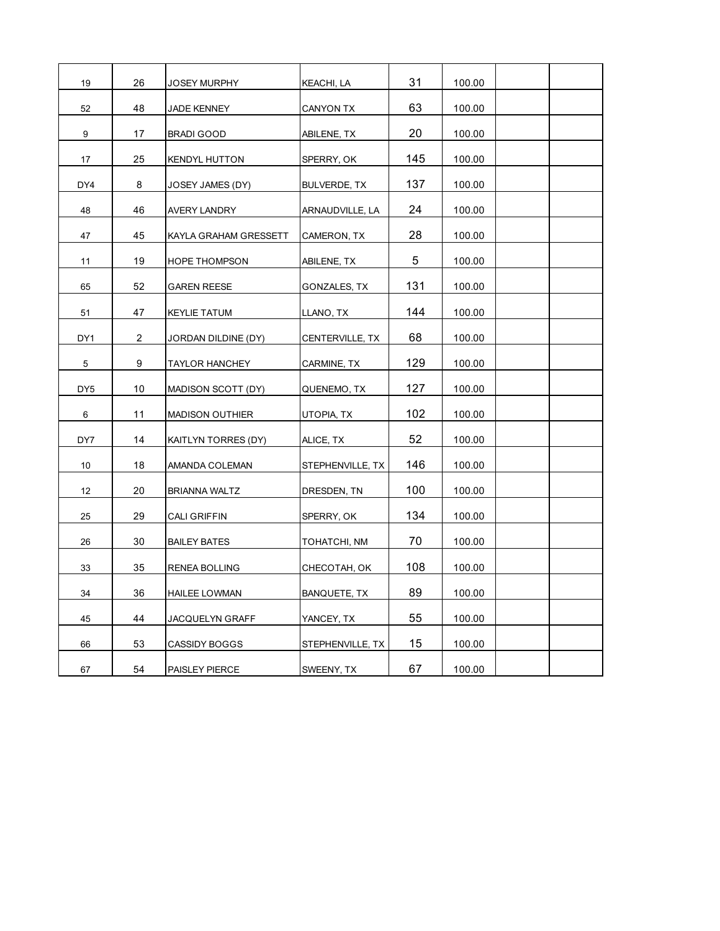| 19              | 26             | JOSEY MURPHY           | KEACHI, LA          | 31  | 100.00 |  |
|-----------------|----------------|------------------------|---------------------|-----|--------|--|
| 52              | 48             | JADE KENNEY            | <b>CANYON TX</b>    | 63  | 100.00 |  |
| 9               | 17             | <b>BRADI GOOD</b>      | ABILENE, TX         | 20  | 100.00 |  |
| 17              | 25             | <b>KENDYL HUTTON</b>   | SPERRY, OK          | 145 | 100.00 |  |
| DY4             | 8              | JOSEY JAMES (DY)       | <b>BULVERDE, TX</b> | 137 | 100.00 |  |
| 48              | 46             | <b>AVERY LANDRY</b>    | ARNAUDVILLE, LA     | 24  | 100.00 |  |
| 47              | 45             | KAYLA GRAHAM GRESSETT  | CAMERON, TX         | 28  | 100.00 |  |
| 11              | 19             | <b>HOPE THOMPSON</b>   | ABILENE, TX         | 5   | 100.00 |  |
| 65              | 52             | <b>GAREN REESE</b>     | GONZALES, TX        | 131 | 100.00 |  |
| 51              | 47             | <b>KEYLIE TATUM</b>    | LLANO, TX           | 144 | 100.00 |  |
| DY1             | $\overline{2}$ | JORDAN DILDINE (DY)    | CENTERVILLE, TX     | 68  | 100.00 |  |
| 5               | 9              | <b>TAYLOR HANCHEY</b>  | CARMINE, TX         | 129 | 100.00 |  |
| DY <sub>5</sub> | 10             | MADISON SCOTT (DY)     | QUENEMO, TX         | 127 | 100.00 |  |
| 6               | 11             | <b>MADISON OUTHIER</b> | UTOPIA, TX          | 102 | 100.00 |  |
| DY7             | 14             | KAITLYN TORRES (DY)    | ALICE, TX           | 52  | 100.00 |  |
| 10              | 18             | AMANDA COLEMAN         | STEPHENVILLE, TX    | 146 | 100.00 |  |
| 12              | 20             | <b>BRIANNA WALTZ</b>   | DRESDEN, TN         | 100 | 100.00 |  |
| 25              | 29             | <b>CALI GRIFFIN</b>    | SPERRY, OK          | 134 | 100.00 |  |
| 26              | 30             | <b>BAILEY BATES</b>    | TOHATCHI, NM        | 70  | 100.00 |  |
| 33              | 35             | <b>RENEA BOLLING</b>   | CHECOTAH, OK        | 108 | 100.00 |  |
| 34              | 36             | <b>HAILEE LOWMAN</b>   | <b>BANQUETE, TX</b> | 89  | 100.00 |  |
| 45              | 44             | JACQUELYN GRAFF        | YANCEY, TX          | 55  | 100.00 |  |
| 66              | 53             | <b>CASSIDY BOGGS</b>   | STEPHENVILLE, TX    | 15  | 100.00 |  |
| 67              | 54             | PAISLEY PIERCE         | SWEENY, TX          | 67  | 100.00 |  |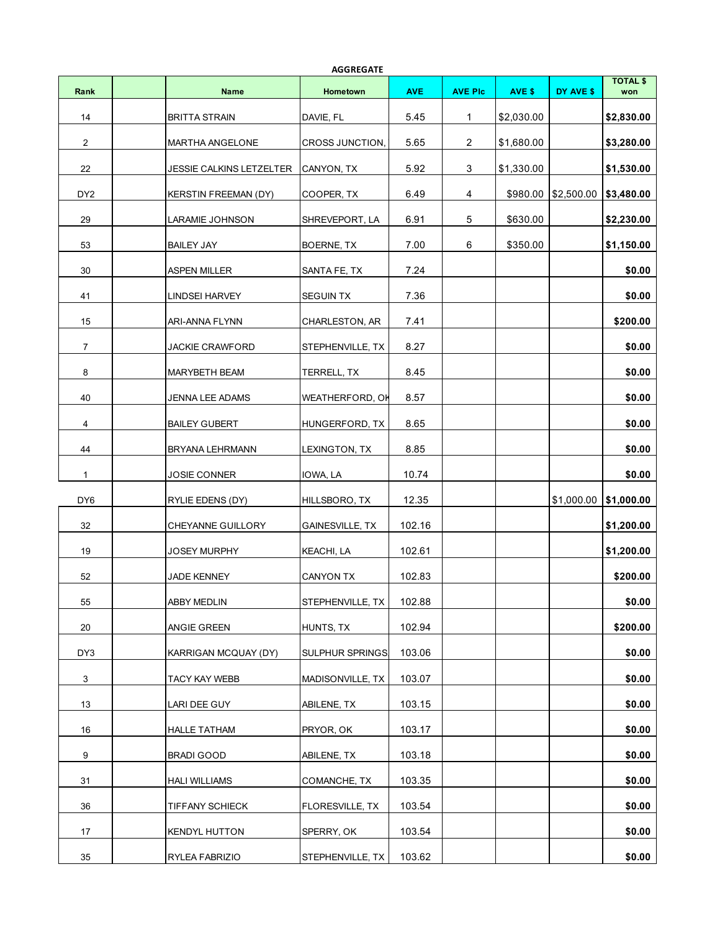|                 |                                 | <b>AGGREGATE</b>       |            |                |            |                         |                        |
|-----------------|---------------------------------|------------------------|------------|----------------|------------|-------------------------|------------------------|
| Rank            | <b>Name</b>                     | Hometown               | <b>AVE</b> | <b>AVE PIc</b> | AVE \$     | DY AVE \$               | <b>TOTAL \$</b><br>won |
| 14              | <b>BRITTA STRAIN</b>            | DAVIE, FL              | 5.45       | 1              | \$2,030.00 |                         | \$2,830.00             |
| 2               | <b>MARTHA ANGELONE</b>          | CROSS JUNCTION,        | 5.65       | $\overline{2}$ | \$1,680.00 |                         | \$3,280.00             |
| 22              | <b>JESSIE CALKINS LETZELTER</b> | CANYON, TX             | 5.92       | 3              | \$1,330.00 |                         | \$1,530.00             |
| DY <sub>2</sub> | <b>KERSTIN FREEMAN (DY)</b>     | COOPER, TX             | 6.49       | 4              | \$980.00   | \$2,500.00              | \$3,480.00             |
| 29              | LARAMIE JOHNSON                 | SHREVEPORT, LA         | 6.91       | 5              | \$630.00   |                         | \$2,230.00             |
| 53              | <b>BAILEY JAY</b>               | BOERNE, TX             | 7.00       | 6              | \$350.00   |                         | \$1,150.00             |
| 30              | <b>ASPEN MILLER</b>             | SANTA FE, TX           | 7.24       |                |            |                         | \$0.00                 |
| 41              | <b>LINDSEI HARVEY</b>           | <b>SEGUIN TX</b>       | 7.36       |                |            |                         | \$0.00                 |
| 15              | ARI-ANNA FLYNN                  | CHARLESTON, AR         | 7.41       |                |            |                         | \$200.00               |
| $\overline{7}$  | <b>JACKIE CRAWFORD</b>          | STEPHENVILLE, TX       | 8.27       |                |            |                         | \$0.00                 |
| 8               | MARYBETH BEAM                   | TERRELL, TX            | 8.45       |                |            |                         | \$0.00                 |
| 40              | <b>JENNA LEE ADAMS</b>          | WEATHERFORD, OH        | 8.57       |                |            |                         | \$0.00                 |
| 4               | <b>BAILEY GUBERT</b>            | HUNGERFORD, TX         | 8.65       |                |            |                         | \$0.00                 |
| 44              | BRYANA LEHRMANN                 | LEXINGTON, TX          | 8.85       |                |            |                         | \$0.00                 |
| $\mathbf{1}$    | <b>JOSIE CONNER</b>             | IOWA, LA               | 10.74      |                |            |                         | \$0.00                 |
| DY <sub>6</sub> | RYLIE EDENS (DY)                | HILLSBORO, TX          | 12.35      |                |            | $$1,000.00$ \\$1,000.00 |                        |
| 32              | <b>CHEYANNE GUILLORY</b>        | <b>GAINESVILLE, TX</b> | 102.16     |                |            |                         | \$1,200.00             |
| 19              | <b>JOSEY MURPHY</b>             | <b>KEACHI, LA</b>      | 102.61     |                |            |                         | \$1,200.00             |
| 52              | <b>JADE KENNEY</b>              | <b>CANYON TX</b>       | 102.83     |                |            |                         | \$200.00               |
| 55              | ABBY MEDLIN                     | STEPHENVILLE, TX       | 102.88     |                |            |                         | \$0.00                 |
| 20              | ANGIE GREEN                     | HUNTS, TX              | 102.94     |                |            |                         | \$200.00               |
| DY3             | KARRIGAN MCQUAY (DY)            | SULPHUR SPRINGS        | 103.06     |                |            |                         | \$0.00                 |
| 3               | TACY KAY WEBB                   | MADISONVILLE, TX       | 103.07     |                |            |                         | \$0.00                 |
| 13              | LARI DEE GUY                    | ABILENE, TX            | 103.15     |                |            |                         | \$0.00                 |
| 16              | <b>HALLE TATHAM</b>             | PRYOR, OK              | 103.17     |                |            |                         | \$0.00                 |
| 9               | BRADI GOOD                      | ABILENE, TX            | 103.18     |                |            |                         | \$0.00                 |
| 31              | <b>HALI WILLIAMS</b>            | COMANCHE, TX           | 103.35     |                |            |                         | \$0.00                 |
| 36              | TIFFANY SCHIECK                 | FLORESVILLE, TX        | 103.54     |                |            |                         | \$0.00                 |
| 17              | <b>KENDYL HUTTON</b>            | SPERRY, OK             | 103.54     |                |            |                         | \$0.00                 |
| 35              | RYLEA FABRIZIO                  | STEPHENVILLE, TX       | 103.62     |                |            |                         | \$0.00                 |